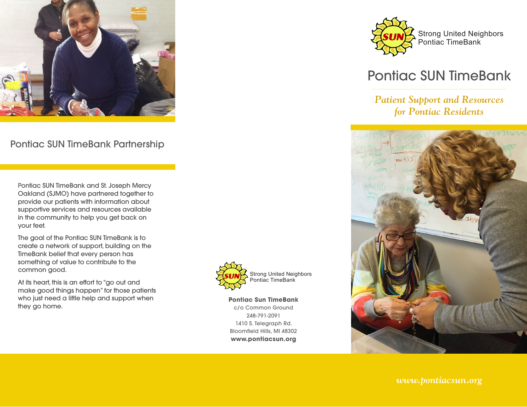

Pontiac SUN TimeBank Partnership

Pontiac SUN TimeBank and St. Joseph Mercy Oakland (SJMO) have partnered together to provide our patients with information about supportive services and resources available in the community to help you get back on your feet.

The goal of the Pontiac SUN TimeBank is to create a network of support, building on the TimeBank belief that every person has something of value to contribute to the common good.

At its heart, this is an effort to "go out and make good things happen" for those patients who just need a little help and support when they go home.



**Pontiac Sun TimeBank** c/o Common Ground 248-791-2091 1410 S. Telegraph Rd. Bloomfield Hills, MI 48302 **www.pontiacsun.org**



# Pontiac SUN TimeBank

## *Patient Support and Resources for Pontiac Residents*



*www.pontiacsun.org*